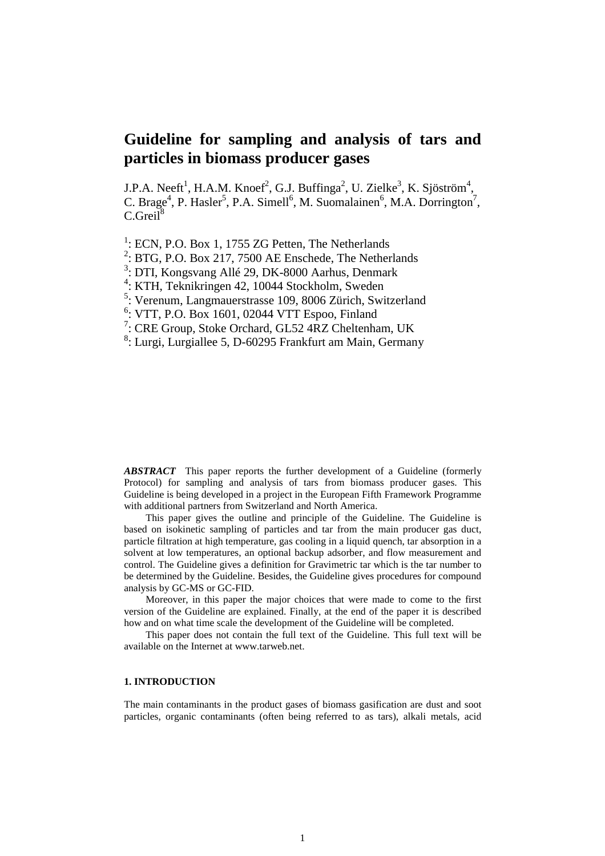# **Guideline for sampling and analysis of tars and particles in biomass producer gases**

J.P.A. Neeft<sup>1</sup>, H.A.M. Knoef<sup>2</sup>, G.J. Buffinga<sup>2</sup>, U. Zielke<sup>3</sup>, K. Sjöström<sup>4</sup>, C. Brage<sup>4</sup>, P. Hasler<sup>5</sup>, P.A. Simell<sup>6</sup>, M. Suomalainen<sup>6</sup>, M.A. Dorrington<sup>7</sup>,  $C.Greil<sup>8</sup>$ 

- <sup>1</sup>: ECN, P.O. Box 1, 1755 ZG Petten, The Netherlands
- $2: BTG, P.O. Box 217, 7500 AE. Enschede, The Netherlands$
- <sup>3</sup>: DTI, Kongsvang Allé 29, DK-8000 Aarhus, Denmark
- 4 : KTH, Teknikringen 42, 10044 Stockholm, Sweden
- 5 : Verenum, Langmauerstrasse 109, 8006 Zürich, Switzerland
- 6 : VTT, P.O. Box 1601, 02044 VTT Espoo, Finland
- <sup>7</sup>: CRE Group, Stoke Orchard, GL52 4RZ Cheltenham, UK
- 8 : Lurgi, Lurgiallee 5, D-60295 Frankfurt am Main, Germany

*ABSTRACT* This paper reports the further development of a Guideline (formerly Protocol) for sampling and analysis of tars from biomass producer gases. This Guideline is being developed in a project in the European Fifth Framework Programme with additional partners from Switzerland and North America.

This paper gives the outline and principle of the Guideline. The Guideline is based on isokinetic sampling of particles and tar from the main producer gas duct, particle filtration at high temperature, gas cooling in a liquid quench, tar absorption in a solvent at low temperatures, an optional backup adsorber, and flow measurement and control. The Guideline gives a definition for Gravimetric tar which is the tar number to be determined by the Guideline. Besides, the Guideline gives procedures for compound analysis by GC-MS or GC-FID.

Moreover, in this paper the major choices that were made to come to the first version of the Guideline are explained. Finally, at the end of the paper it is described how and on what time scale the development of the Guideline will be completed.

This paper does not contain the full text of the Guideline. This full text will be available on the Internet at www.tarweb.net.

## **1. INTRODUCTION**

The main contaminants in the product gases of biomass gasification are dust and soot particles, organic contaminants (often being referred to as tars), alkali metals, acid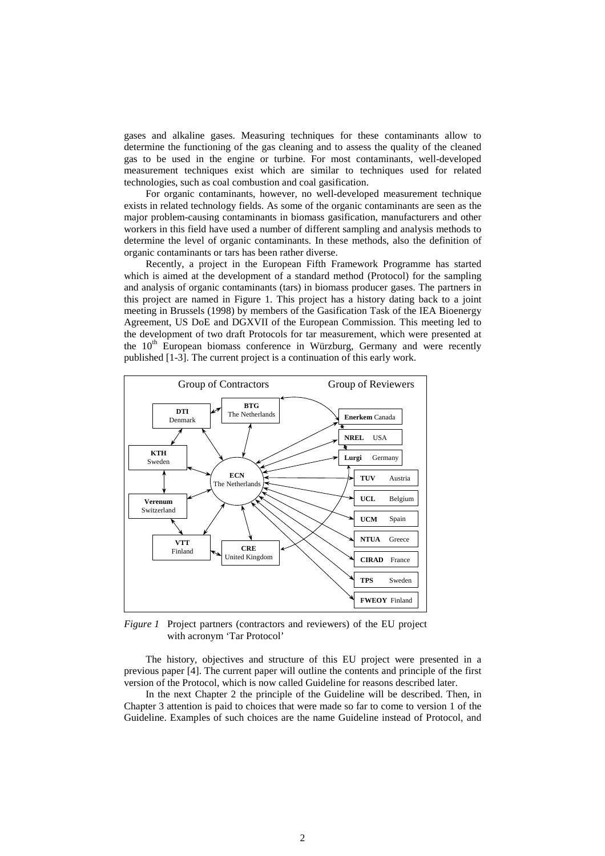<span id="page-1-0"></span>gases and alkaline gases. Measuring techniques for these contaminants allow to determine the functioning of the gas cleaning and to assess the quality of the cleaned gas to be used in the engine or turbine. For most contaminants, well-developed measurement techniques exist which are similar to techniques used for related technologies, such as coal combustion and coal gasification.

For organic contaminants, however, no well-developed measurement technique exists in related technology fields. As some of the organic contaminants are seen as the major problem-causing contaminants in biomass gasification, manufacturers and other workers in this field have used a number of different sampling and analysis methods to determine the level of organic contaminants. In these methods, also the definition of organic contaminants or tars has been rather diverse.

Recently, a project in the European Fifth Framework Programme has started which is aimed at the development of a standard method (Protocol) for the sampling and analysis of organic contaminants (tars) in biomass producer gases. The partners in this project are named in Figure 1. This project has a history dating back to a joint meeting in Brussels (1998) by members of the Gasification Task of the IEA Bioenergy Agreement, US DoE and DGXVII of the European Commission. This meeting led to the development of two draft Protocols for tar measurement, which were presented at the 10<sup>th</sup> European biomass conference in Würzburg, Germany and were recently published [1-3]. The current project is a continuation of this early work.



*Figure 1* Project partners (contractors and reviewers) of the EU project with acronym 'Tar Protocol'

The history, objectives and structure of this EU project were presented in a previous paper [4]. The current paper will outline the contents and principle of the first version of the Protocol, which is now called Guideline for reasons described later.

In the next Chapter 2 the principle of the Guideline will be described. Then, in Chapter 3 attention is paid to choices that were made so far to come to version 1 of the Guideline. Examples of such choices are the name Guideline instead of Protocol, and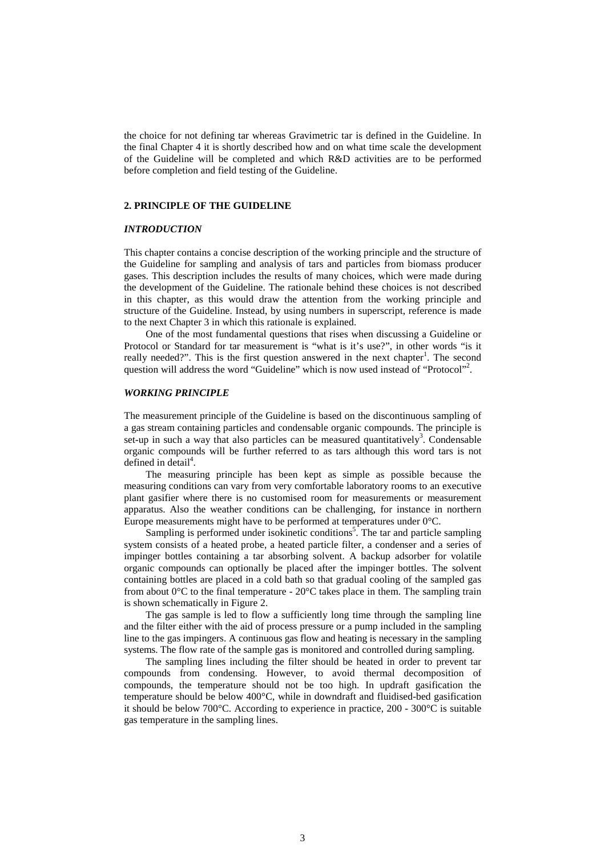the choice for not defining tar whereas Gravimetric tar is defined in the Guideline. In the final Chapter 4 it is shortly described how and on what time scale the development of the Guideline will be completed and which R&D activities are to be performed before completion and field testing of the Guideline.

## **2. PRINCIPLE OF THE GUIDELINE**

## *INTRODUCTION*

This chapter contains a concise description of the working principle and the structure of the Guideline for sampling and analysis of tars and particles from biomass producer gases. This description includes the results of many choices, which were made during the development of the Guideline. The rationale behind these choices is not described in this chapter, as this would draw the attention from the working principle and structure of the Guideline. Instead, by using numbers in superscript, reference is made to the next Chapter 3 in which this rationale is explained.

One of the most fundamental questions that rises when discussing a Guideline or Protocol or Standard for tar measurement is "what is it's use?", in other words "is it really needed?". This is the first question answered in the next chapter<sup>[1](#page-7-0)</sup>. The second question will address the word "Guideline" which is now used instead of "Protocol"<sup>2</sup>.

#### *WORKING PRINCIPLE*

The measurement principle of the Guideline is based on the discontinuous sampling of a gas stream containing particles and condensable organic compounds. The principle is set-up in such a way that also particles can be measured quantitatively<sup>3</sup>. Condensable organic compo[un](#page-8-0)ds will be further referred to as tars although this word tars is not defined in detail<sup>4</sup>.

The measuring principle has been kept as simple as possible because the measuring conditions can vary from very comfortable laboratory rooms to an executive plant gasifier where there is no customised room for measurements or measurement apparatus. Also the weather conditions can be challenging, for instance in northern Europe measurements might have to be performed at temperatures under 0°C.

Sampling is performed under isokinetic conditions<sup>5</sup>. The tar and particle sampling system consists of a heated probe, a heated particle filter, a condenser and a series of impinger bottles containing a tar absorbing solvent. A backup adsorber for volatile organic compounds can optionally be placed after the impinger bottles. The solvent containing bottles are placed in a cold bath so that gradual cooling of the sampled gas from about  $0^{\circ}$ C to the final temperature -  $20^{\circ}$ C takes place in them. The sampling train is shown schematically in [Figure 2.](#page-3-0)

The gas sample is led to flow a sufficiently long time through the sampling line and the filter either with the aid of process pressure or a pump included in the sampling line to the gas impingers. A continuous gas flow and heating is necessary in the sampling systems. The flow rate of the sample gas is monitored and controlled during sampling.

The sampling lines including the filter should be heated in order to prevent tar compounds from condensing. However, to avoid thermal decomposition of compounds, the temperature should not be too high. In updraft gasification the temperature should be below 400°C, while in downdraft and fluidised-bed gasification it should be below 700°C. According to experience in practice, 200 - 300°C is suitable gas temperature in the sampling lines.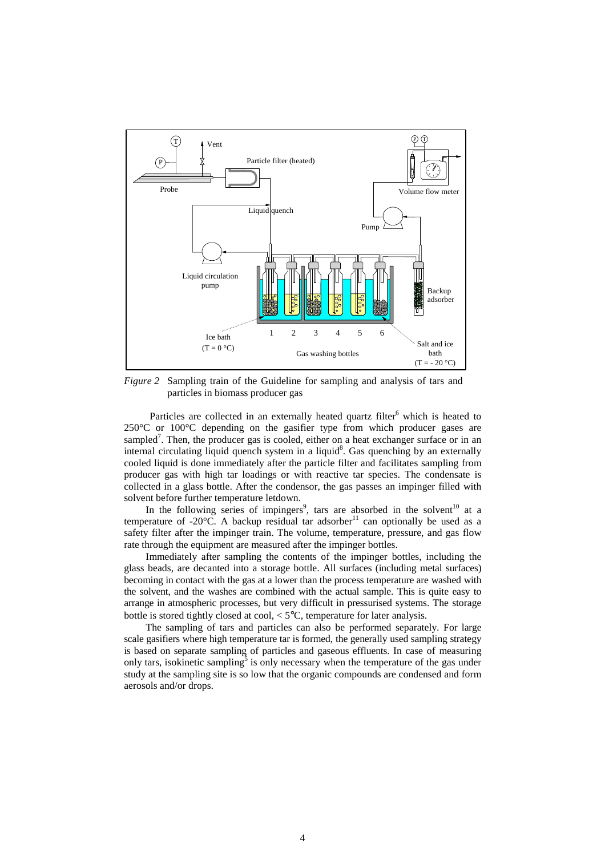<span id="page-3-0"></span>

*Figure 2* Sampling train of the Guideline for sampling and analysis of tars and particles in biomass producer gas

Particles are collected in an externally heated quartz filter<sup>6</sup> which is heated to 250°C or 100°C depending on the gasifier type from which producer gases are sampled<sup>[7](#page-9-0)</sup>. Then, the producer gas is cooled, either on a heat exchanger surface or in an internal circulating liquid quench system in a liquid<sup>[8](#page-9-0)</sup>. Gas quenching by an externally cooled liquid is done immediately after the particle filter and facilitates sampling from producer gas with high tar loadings or with reactive tar species. The condensate is collected in a glass bottle. After the condensor, the gas passes an impinger filled with solvent before further temperature letdown.

In the following series of impingers<sup>[9](#page-9-0)</sup>, tars are absorbed in the solvent<sup>10</sup> at a temperature of -20 $^{\circ}$ C. A backup residual tar adsorber<sup>11</sup> can optionally be used as a safety filter after the impinger train. The volume, temperature, pressure, and gas flow rate through the equipment are measured after the impinger bottles.

Immediately after sampling the contents of the impinger bottles, including the glass beads, are decanted into a storage bottle. All surfaces (including metal surfaces) becoming in contact with the gas at a lower than the process temperature are washed with the solvent, and the washes are combined with the actual sample. This is quite easy to arrange in atmospheric processes, but very difficult in pressurised systems. The storage bottle is stored tightly closed at cool,  $\langle 5^{\circ}$ C, temperature for later analysis.

The sampling of tars and particles can also be performed separately. For large scale gasifiers where high temperature tar is formed, the generally used sampling strategy is based on separate sampling of particles and gaseous effluents. In case of measuring only tars, isokinetic sampling<sup>[5](#page-8-0)</sup> is only necessary when the temperature of the gas under study at the sampling site is so low that the organic compounds are condensed and form aerosols and/or drops.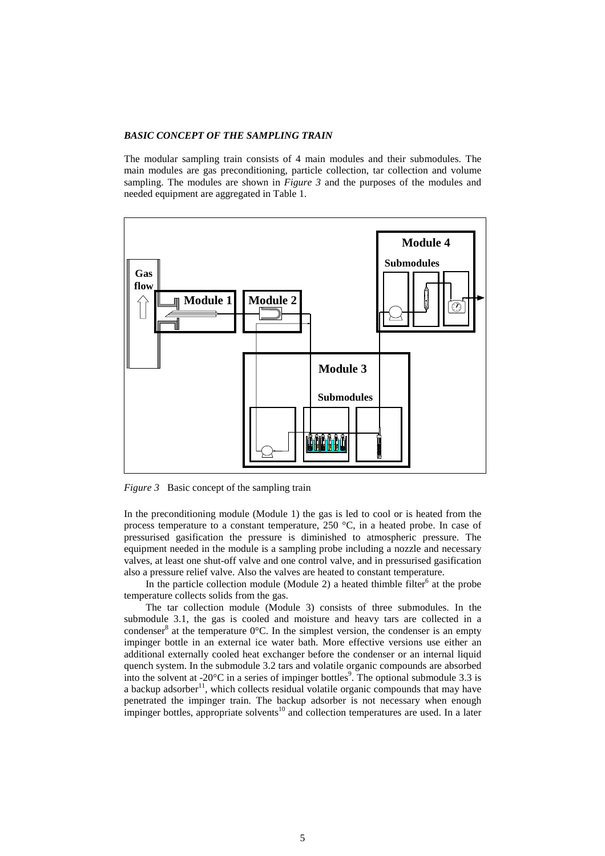# *BASIC CONCEPT OF THE SAMPLING TRAIN*

The modular sampling train consists of 4 main modules and their submodules. The main modules are gas preconditioning, particle collection, tar collection and volume sampling. The modules are shown in *Figure 3* and the purposes of the modules and needed equipment are aggregated in [Table 1.](#page-5-0)



*Figure 3* Basic concept of the sampling train

In the preconditioning module (Module 1) the gas is led to cool or is heated from the process temperature to a constant temperature, 250 °C, in a heated probe. In case of pressurised gasification the pressure is diminished to atmospheric pressure. The equipment needed in the module is a sampling probe including a nozzle and necessary valves, at least one shut-off valve and one control valve, and in pressurised gasification also a pressure relief valve. Also the valves are heated to constant temperature.

In the particle collection module (Module 2) a heated thimble filter<sup>6</sup> at the probe temperature collects solids from the gas.

The tar collection module (Module 3) consists of three submodules. In the submodule 3.1, the gas is cooled and moisture and heavy tars are collected in a condenser<sup>[8](#page-9-0)</sup> at the temperature  $0^{\circ}$ C. In the simplest version, the condenser is an empty impinger bottle in an external ice water bath. More effective versions use either an additional externally cooled heat exchanger before the condenser or an internal liquid quench system. In the submodule 3.2 tars and volatile organic compounds are absorbed into the solvent at -20 $^{\circ}$ C in a series of impinger bottles<sup>9</sup>. The optional submodule 3.3 is a backup adsorber<sup>11</sup>, which collects residual volatile organic compounds that may have penetrated the impinger train. The backup adsorber is not necessary when enough impinger bottles, appropriate solvents<sup>10</sup> and collection temperatures are used. In a later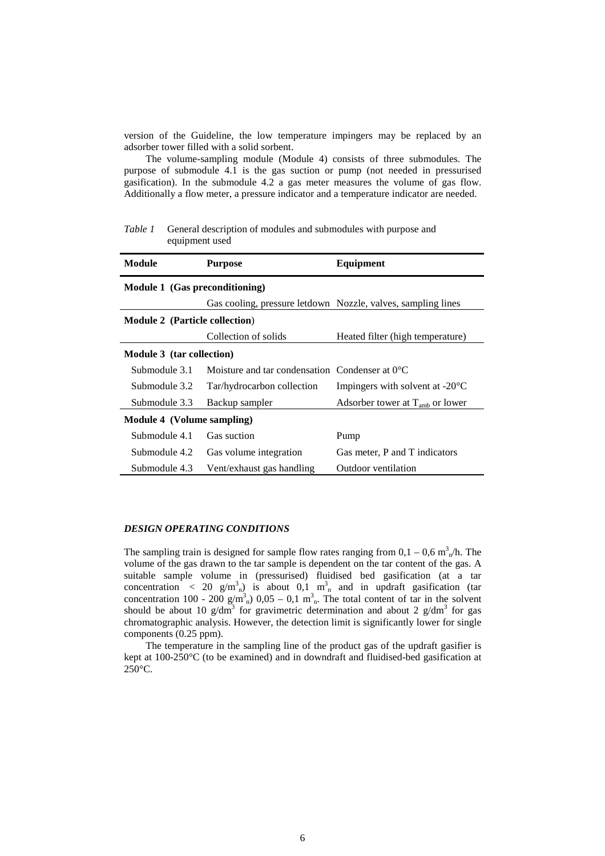<span id="page-5-0"></span>version of the Guideline, the low temperature impingers may be replaced by an adsorber tower filled with a solid sorbent.

The volume-sampling module (Module 4) consists of three submodules. The purpose of submodule 4.1 is the gas suction or pump (not needed in pressurised gasification). In the submodule 4.2 a gas meter measures the volume of gas flow. Additionally a flow meter, a pressure indicator and a temperature indicator are needed.

*Table 1* General description of modules and submodules with purpose and equipment used

| <b>Module</b>                         | <b>Purpose</b>                                           | Equipment                                                    |
|---------------------------------------|----------------------------------------------------------|--------------------------------------------------------------|
| Module 1 (Gas preconditioning)        |                                                          |                                                              |
|                                       |                                                          | Gas cooling, pressure letdown Nozzle, valves, sampling lines |
| <b>Module 2</b> (Particle collection) |                                                          |                                                              |
|                                       | Collection of solids                                     | Heated filter (high temperature)                             |
| Module 3 (tar collection)             |                                                          |                                                              |
| Submodule 3.1                         | Moisture and tar condensation Condenser at $0^{\circ}$ C |                                                              |
| Submodule 3.2                         | Tar/hydrocarbon collection                               | Impingers with solvent at $-20^{\circ}$ C                    |
| Submodule 3.3                         | Backup sampler                                           | Adsorber tower at $T_{amb}$ or lower                         |
| Module 4 (Volume sampling)            |                                                          |                                                              |
| Submodule 4.1                         | Gas suction                                              | Pump                                                         |
| Submodule 4.2                         | Gas volume integration                                   | Gas meter, P and T indicators                                |
| Submodule 4.3                         | Vent/exhaust gas handling                                | Outdoor ventilation                                          |

## *DESIGN OPERATING CONDITIONS*

The sampling train is designed for sample flow rates ranging from  $0,1 - 0,6$  m<sup>3</sup><sub>n</sub>/h. The volume of the gas drawn to the tar sample is dependent on the tar content of the gas. A suitable sample volume in (pressurised) fluidised bed gasification (at a tar concentration < 20  $g/m<sup>3</sup>_{n}$ ) is about 0,1  $m<sup>3</sup>_{n}$  and in updraft gasification (tar concentration 100 - 200  $g/m<sup>3</sup>$ <sub>n</sub>) 0,05 - 0,1 m<sup>3</sup><sub>n</sub>. The total content of tar in the solvent should be about 10  $g/dm^3$  for gravimetric determination and about 2  $g/dm^3$  for gas chromatographic analysis. However, the detection limit is significantly lower for single components (0.25 ppm).

The temperature in the sampling line of the product gas of the updraft gasifier is kept at 100-250°C (to be examined) and in downdraft and fluidised-bed gasification at 250°C.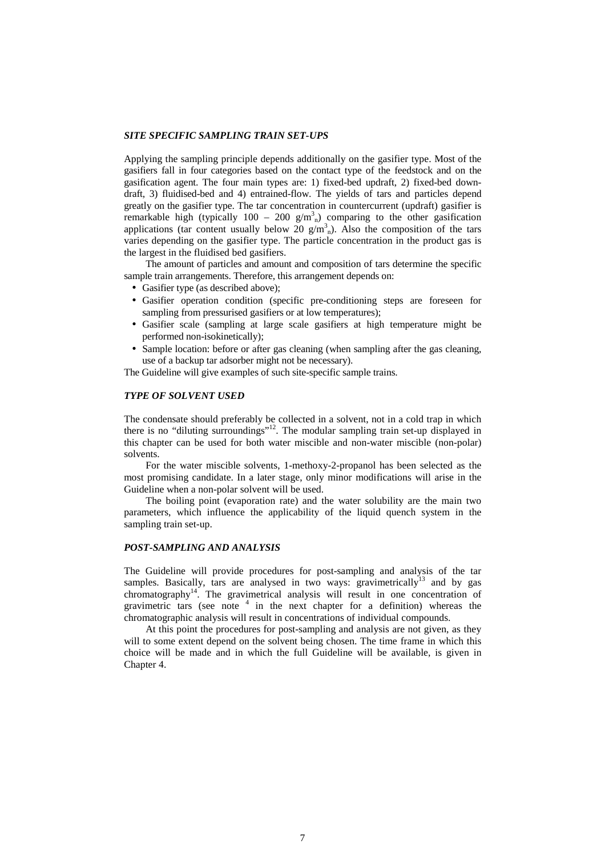#### *SITE SPECIFIC SAMPLING TRAIN SET-UPS*

Applying the sampling principle depends additionally on the gasifier type. Most of the gasifiers fall in four categories based on the contact type of the feedstock and on the gasification agent. The four main types are: 1) fixed-bed updraft, 2) fixed-bed downdraft, 3) fluidised-bed and 4) entrained-flow. The yields of tars and particles depend greatly on the gasifier type. The tar concentration in countercurrent (updraft) gasifier is remarkable high (typically 100 – 200  $g/m<sup>3</sup><sub>n</sub>$ ) comparing to the other gasification applications (tar content usually below 20  $g/m<sup>3</sup>$ <sub>n</sub>). Also the composition of the tars varies depending on the gasifier type. The particle concentration in the product gas is the largest in the fluidised bed gasifiers.

The amount of particles and amount and composition of tars determine the specific sample train arrangements. Therefore, this arrangement depends on:

- Gasifier type (as described above);
- Gasifier operation condition (specific pre-conditioning steps are foreseen for sampling from pressurised gasifiers or at low temperatures);
- Gasifier scale (sampling at large scale gasifiers at high temperature might be performed non-isokinetically);
- Sample location: before or after gas cleaning (when sampling after the gas cleaning, use of a backup tar adsorber might not be necessary).

The Guideline will give examples of such site-specific sample trains.

#### *TYPE OF SOLVENT USED*

The condensate should preferably be collected in a solvent, not in a cold trap in which there is no "diluting surroundings"[12. The modular sampling train set-up displayed in](#page-10-0) this chapter can be used for both water miscible and non-water miscible (non-polar) solvents.

For the water miscible solvents, 1-methoxy-2-propanol has been selected as the most promising candidate. In a later stage, only minor modifications will arise in the Guideline when a non-polar solvent will be used.

The boiling point (evaporation rate) and the water solubility are the main two parameters, which influence the applicability of the liquid quench system in the sampling train set-up.

#### *POST-SAMPLING AND ANALYSIS*

The Guideline will provide procedures for post-sampling and analysis of the tar samples. Basically, tars are analysed in two ways: gravimetrically<sup>13</sup> and by gas chromatography<sup>14</sup>. The gravimetrical analysis will result in one concentration of gravimetric tars (see note  $4$  in the next chapter for a definition) whereas the chromatographic analysis will result in concentrations of individual compounds.

At this point the procedures for post-sampling and analysis are not given, as they will to some extent depend on the solvent being chosen. The time frame in which this choice will be made and in which the full Guideline will be available, is given in Chapter 4.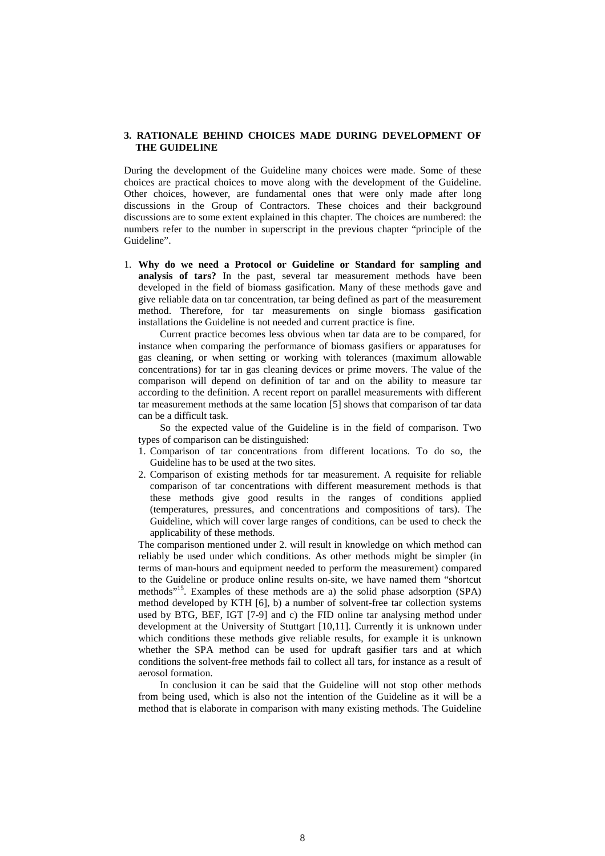#### <span id="page-7-0"></span>**3. RATIONALE BEHIND CHOICES MADE DURING DEVELOPMENT OF THE GUIDELINE**

During the development of the Guideline many choices were made. Some of these choices are practical choices to move along with the development of the Guideline. Other choices, however, are fundamental ones that were only made after long discussions in the Group of Contractors. These choices and their background discussions are to some extent explained in this chapter. The choices are numbered: the numbers refer to the number in superscript in the previous chapter "principle of the Guideline".

1. **Why do we need a Protocol or Guideline or Standard for sampling and analysis of tars?** In the past, several tar measurement methods have been developed in the field of biomass gasification. Many of these methods gave and give reliable data on tar concentration, tar being defined as part of the measurement method. Therefore, for tar measurements on single biomass gasification installations the Guideline is not needed and current practice is fine.

Current practice becomes less obvious when tar data are to be compared, for instance when comparing the performance of biomass gasifiers or apparatuses for gas cleaning, or when setting or working with tolerances (maximum allowable concentrations) for tar in gas cleaning devices or prime movers. The value of the comparison will depend on definition of tar and on the ability to measure tar according to the definition. A recent report on parallel measurements with different tar measurement methods at the same location [5] shows that comparison of tar data can be a difficult task.

So the expected value of the Guideline is in the field of comparison. Two types of comparison can be distinguished:

- 1. Comparison of tar concentrations from different locations. To do so, the Guideline has to be used at the two sites.
- 2. Comparison of existing methods for tar measurement. A requisite for reliable comparison of tar concentrations with different measurement methods is that these methods give good results in the ranges of conditions applied (temperatures, pressures, and concentrations and compositions of tars). The Guideline, which will cover large ranges of conditions, can be used to check the applicability of these methods.

The comparison mentioned under 2. will result in knowledge on which method can reliably be used under which conditions. As other methods might be simpler (in terms of man-hours and equipment needed to perform the measurement) compared to the Guideline or produce online results on-site, we have named them "shortcut methods<sup>"15</sup>. Examples of these methods are a) the solid phase adsorption (SPA) method developed by KTH [6], b) a number of solvent-free tar collection systems used by BTG, BEF, IGT [7-9] and c) the FID online tar analysing method under development at the University of Stuttgart [10,11]. Currently it is unknown under which conditions these methods give reliable results, for example it is unknown whether the SPA method can be used for updraft gasifier tars and at which conditions the solvent-free methods fail to collect all tars, for instance as a result of aerosol formation.

In conclusion it can be said that the Guideline will not stop other methods from being used, which is also not the intention of the Guideline as it will be a method that is elaborate in comparison with many existing methods. The Guideline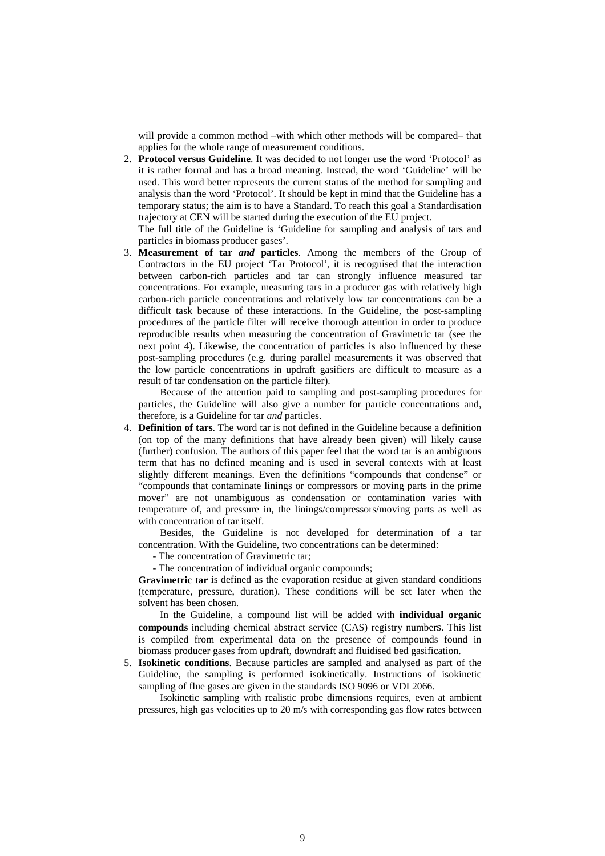<span id="page-8-0"></span>will provide a common method –with which other methods will be compared– that applies for the whole range of measurement conditions.

2. **Protocol versus Guideline**. It was decided to not longer use the word 'Protocol' as it is rather formal and has a broad meaning. Instead, the word 'Guideline' will be used. This word better represents the current status of the method for sampling and analysis than the word 'Protocol'. It should be kept in mind that the Guideline has a temporary status; the aim is to have a Standard. To reach this goal a Standardisation trajectory at CEN will be started during the execution of the EU project.

The full title of the Guideline is 'Guideline for sampling and analysis of tars and particles in biomass producer gases'.

3. **Measurement of tar** *and* **particles**. Among the members of the Group of Contractors in the EU project 'Tar Protocol', it is recognised that the interaction between carbon-rich particles and tar can strongly influence measured tar concentrations. For example, measuring tars in a producer gas with relatively high carbon-rich particle concentrations and relatively low tar concentrations can be a difficult task because of these interactions. In the Guideline, the post-sampling procedures of the particle filter will receive thorough attention in order to produce reproducible results when measuring the concentration of Gravimetric tar (see the next point 4). Likewise, the concentration of particles is also influenced by these post-sampling procedures (e.g. during parallel measurements it was observed that the low particle concentrations in updraft gasifiers are difficult to measure as a result of tar condensation on the particle filter).

Because of the attention paid to sampling and post-sampling procedures for particles, the Guideline will also give a number for particle concentrations and, therefore, is a Guideline for tar *and* particles.

4. **Definition of tars**. The word tar is not defined in the Guideline because a definition (on top of the many definitions that have already been given) will likely cause (further) confusion. The authors of this paper feel that the word tar is an ambiguous term that has no defined meaning and is used in several contexts with at least slightly different meanings. Even the definitions "compounds that condense" or "compounds that contaminate linings or compressors or moving parts in the prime mover" are not unambiguous as condensation or contamination varies with temperature of, and pressure in, the linings/compressors/moving parts as well as with concentration of tar itself.

Besides, the Guideline is not developed for determination of a tar concentration. With the Guideline, two concentrations can be determined:

- The concentration of Gravimetric tar;

- The concentration of individual organic compounds;

**Gravimetric tar** is defined as the evaporation residue at given standard conditions (temperature, pressure, duration). These conditions will be set later when the solvent has been chosen.

In the Guideline, a compound list will be added with **individual organic compounds** including chemical abstract service (CAS) registry numbers. This list is compiled from experimental data on the presence of compounds found in biomass producer gases from updraft, downdraft and fluidised bed gasification.

5. **Isokinetic conditions**. Because particles are sampled and analysed as part of the Guideline, the sampling is performed isokinetically. Instructions of isokinetic sampling of flue gases are given in the standards ISO 9096 or VDI 2066.

Isokinetic sampling with realistic probe dimensions requires, even at ambient pressures, high gas velocities up to 20 m/s with corresponding gas flow rates between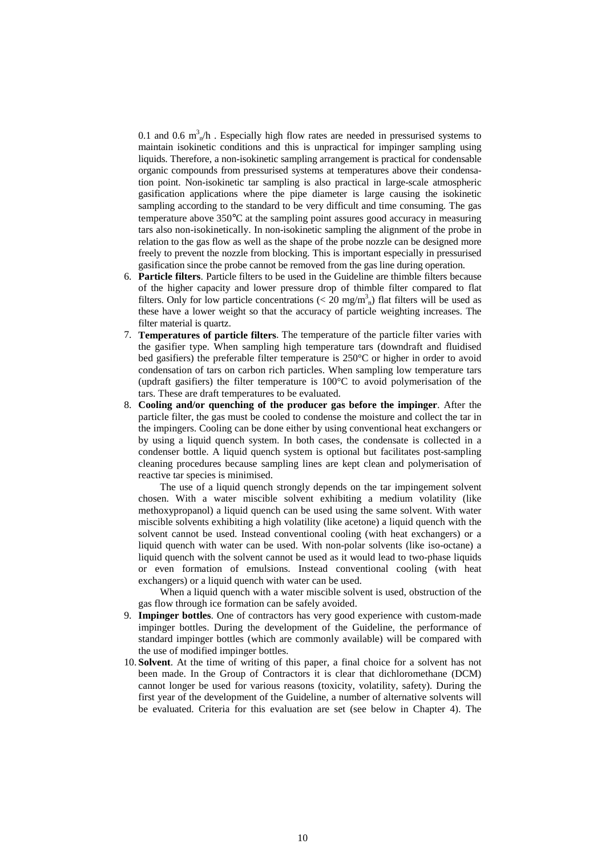<span id="page-9-0"></span>0.1 and 0.6  $m_n^3$ h . Especially high flow rates are needed in pressurised systems to maintain isokinetic conditions and this is unpractical for impinger sampling using liquids. Therefore, a non-isokinetic sampling arrangement is practical for condensable organic compounds from pressurised systems at temperatures above their condensation point. Non-isokinetic tar sampling is also practical in large-scale atmospheric gasification applications where the pipe diameter is large causing the isokinetic sampling according to the standard to be very difficult and time consuming. The gas temperature above 350°C at the sampling point assures good accuracy in measuring tars also non-isokinetically. In non-isokinetic sampling the alignment of the probe in relation to the gas flow as well as the shape of the probe nozzle can be designed more freely to prevent the nozzle from blocking. This is important especially in pressurised gasification since the probe cannot be removed from the gas line during operation.

- 6. **Particle filters**. Particle filters to be used in the Guideline are thimble filters because of the higher capacity and lower pressure drop of thimble filter compared to flat filters. Only for low particle concentrations ( $<$  20 mg/m<sup>3</sup><sub>n</sub>) flat filters will be used as these have a lower weight so that the accuracy of particle weighting increases. The filter material is quartz.
- 7. **Temperatures of particle filters**. The temperature of the particle filter varies with the gasifier type. When sampling high temperature tars (downdraft and fluidised bed gasifiers) the preferable filter temperature is 250°C or higher in order to avoid condensation of tars on carbon rich particles. When sampling low temperature tars (updraft gasifiers) the filter temperature is 100°C to avoid polymerisation of the tars. These are draft temperatures to be evaluated.
- 8. **Cooling and/or quenching of the producer gas before the impinger**. After the particle filter, the gas must be cooled to condense the moisture and collect the tar in the impingers. Cooling can be done either by using conventional heat exchangers or by using a liquid quench system. In both cases, the condensate is collected in a condenser bottle. A liquid quench system is optional but facilitates post-sampling cleaning procedures because sampling lines are kept clean and polymerisation of reactive tar species is minimised.

The use of a liquid quench strongly depends on the tar impingement solvent chosen. With a water miscible solvent exhibiting a medium volatility (like methoxypropanol) a liquid quench can be used using the same solvent. With water miscible solvents exhibiting a high volatility (like acetone) a liquid quench with the solvent cannot be used. Instead conventional cooling (with heat exchangers) or a liquid quench with water can be used. With non-polar solvents (like iso-octane) a liquid quench with the solvent cannot be used as it would lead to two-phase liquids or even formation of emulsions. Instead conventional cooling (with heat exchangers) or a liquid quench with water can be used.

When a liquid quench with a water miscible solvent is used, obstruction of the gas flow through ice formation can be safely avoided.

- 9. **Impinger bottles**. One of contractors has very good experience with custom-made impinger bottles. During the development of the Guideline, the performance of standard impinger bottles (which are commonly available) will be compared with the use of modified impinger bottles.
- 10. **Solvent**. At the time of writing of this paper, a final choice for a solvent has not been made. In the Group of Contractors it is clear that dichloromethane (DCM) cannot longer be used for various reasons (toxicity, volatility, safety). During the first year of the development of the Guideline, a number of alternative solvents will be evaluated. Criteria for this evaluation are set (see below in Chapter 4). The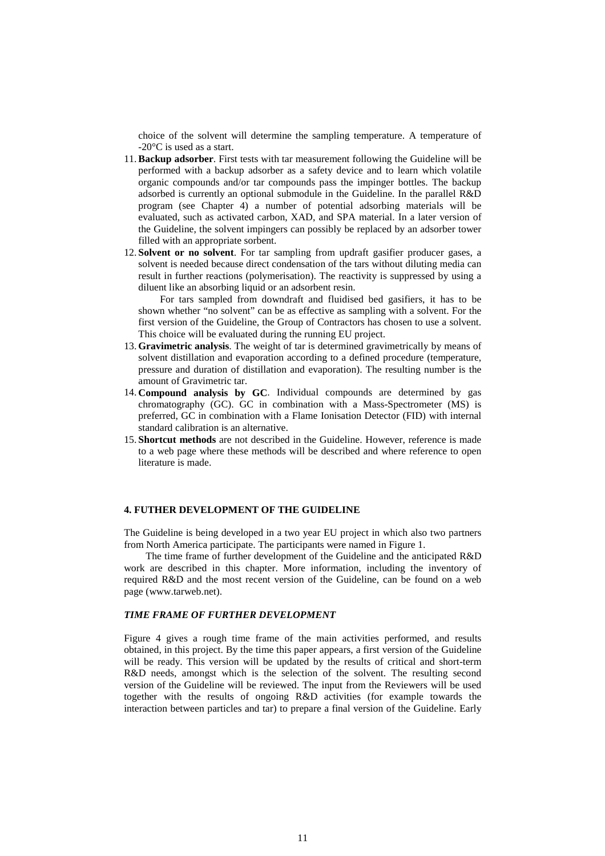<span id="page-10-0"></span>choice of the solvent will determine the sampling temperature. A temperature of -20°C is used as a start.

- 11.**Backup adsorber**. First tests with tar measurement following the Guideline will be performed with a backup adsorber as a safety device and to learn which volatile organic compounds and/or tar compounds pass the impinger bottles. The backup adsorbed is currently an optional submodule in the Guideline. In the parallel R&D program (see Chapter 4) a number of potential adsorbing materials will be evaluated, such as activated carbon, XAD, and SPA material. In a later version of the Guideline, the solvent impingers can possibly be replaced by an adsorber tower filled with an appropriate sorbent.
- 12. **Solvent or no solvent**. For tar sampling from updraft gasifier producer gases, a solvent is needed because direct condensation of the tars without diluting media can result in further reactions (polymerisation). The reactivity is suppressed by using a diluent like an absorbing liquid or an adsorbent resin.

For tars sampled from downdraft and fluidised bed gasifiers, it has to be shown whether "no solvent" can be as effective as sampling with a solvent. For the first version of the Guideline, the Group of Contractors has chosen to use a solvent. This choice will be evaluated during the running EU project.

- 13. **Gravimetric analysis**. The weight of tar is determined gravimetrically by means of solvent distillation and evaporation according to a defined procedure (temperature, pressure and duration of distillation and evaporation). The resulting number is the amount of Gravimetric tar.
- 14. **Compound analysis by GC**. Individual compounds are determined by gas chromatography (GC). GC in combination with a Mass-Spectrometer (MS) is preferred, GC in combination with a Flame Ionisation Detector (FID) with internal standard calibration is an alternative.
- 15. **Shortcut methods** are not described in the Guideline. However, reference is made to a web page where these methods will be described and where reference to open literature is made.

## **4. FUTHER DEVELOPMENT OF THE GUIDELINE**

The Guideline is being developed in a two year EU project in which also two partners from North America participate. The participants were named in [Figure 1.](#page-1-0)

The time frame of further development of the Guideline and the anticipated R&D work are described in this chapter. More information, including the inventory of required R&D and the most recent version of the Guideline, can be found on a web page (www.tarweb.net).

### *TIME FRAME OF FURTHER DEVELOPMENT*

[Figure 4](#page-12-0) gives a rough time frame of the main activities performed, and results obtained, in this project. By the time this paper appears, a first version of the Guideline will be ready. This version will be updated by the results of critical and short-term R&D needs, amongst which is the selection of the solvent. The resulting second version of the Guideline will be reviewed. The input from the Reviewers will be used together with the results of ongoing R&D activities (for example towards the interaction between particles and tar) to prepare a final version of the Guideline. Early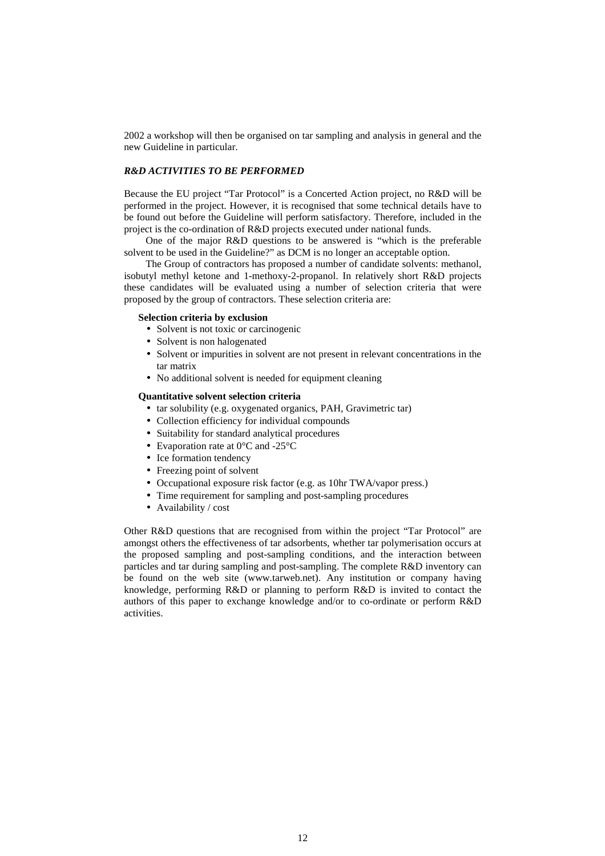2002 a workshop will then be organised on tar sampling and analysis in general and the new Guideline in particular.

# *R&D ACTIVITIES TO BE PERFORMED*

Because the EU project "Tar Protocol" is a Concerted Action project, no R&D will be performed in the project. However, it is recognised that some technical details have to be found out before the Guideline will perform satisfactory. Therefore, included in the project is the co-ordination of R&D projects executed under national funds.

One of the major R&D questions to be answered is "which is the preferable solvent to be used in the Guideline?" as DCM is no longer an acceptable option.

The Group of contractors has proposed a number of candidate solvents: methanol, isobutyl methyl ketone and 1-methoxy-2-propanol. In relatively short R&D projects these candidates will be evaluated using a number of selection criteria that were proposed by the group of contractors. These selection criteria are:

## **Selection criteria by exclusion**

- Solvent is not toxic or carcinogenic
- Solvent is non halogenated
- Solvent or impurities in solvent are not present in relevant concentrations in the tar matrix
- No additional solvent is needed for equipment cleaning

#### **Quantitative solvent selection criteria**

- tar solubility (e.g. oxygenated organics, PAH, Gravimetric tar)
- Collection efficiency for individual compounds
- Suitability for standard analytical procedures
- Evaporation rate at  $0^{\circ}$ C and -25 $^{\circ}$ C
- Ice formation tendency
- Freezing point of solvent
- Occupational exposure risk factor (e.g. as 10hr TWA/vapor press.)
- Time requirement for sampling and post-sampling procedures
- Availability / cost

Other R&D questions that are recognised from within the project "Tar Protocol" are amongst others the effectiveness of tar adsorbents, whether tar polymerisation occurs at the proposed sampling and post-sampling conditions, and the interaction between particles and tar during sampling and post-sampling. The complete R&D inventory can be found on the web site (www.tarweb.net). Any institution or company having knowledge, performing R&D or planning to perform R&D is invited to contact the authors of this paper to exchange knowledge and/or to co-ordinate or perform R&D activities.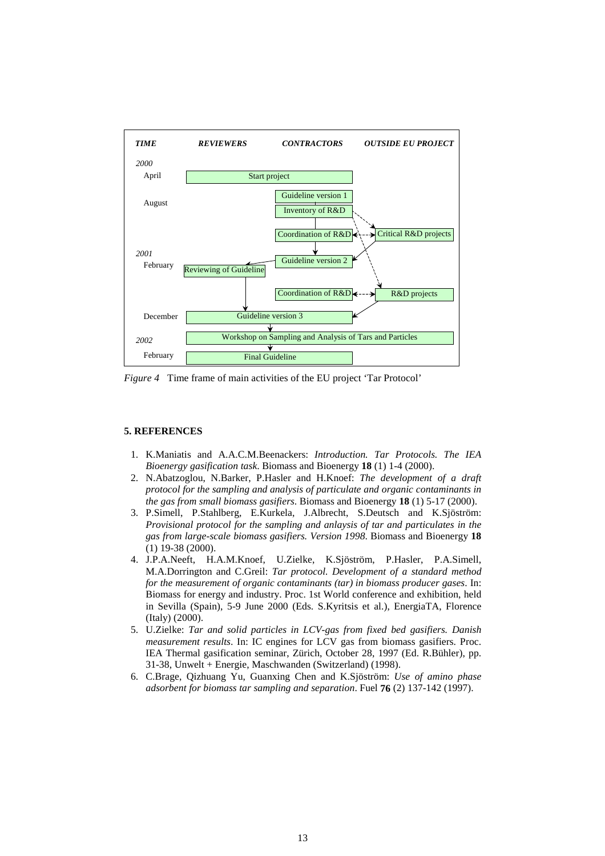<span id="page-12-0"></span>

*Figure 4* Time frame of main activities of the EU project 'Tar Protocol'

## **5. REFERENCES**

- 1. K.Maniatis and A.A.C.M.Beenackers: *Introduction. Tar Protocols. The IEA Bioenergy gasification task*. Biomass and Bioenergy **18** (1) 1-4 (2000).
- 2. N.Abatzoglou, N.Barker, P.Hasler and H.Knoef: *The development of a draft protocol for the sampling and analysis of particulate and organic contaminants in the gas from small biomass gasifiers*. Biomass and Bioenergy **18** (1) 5-17 (2000).
- 3. P.Simell, P.Stahlberg, E.Kurkela, J.Albrecht, S.Deutsch and K.Sjöström: *Provisional protocol for the sampling and anlaysis of tar and particulates in the gas from large-scale biomass gasifiers. Version 1998*. Biomass and Bioenergy **18** (1) 19-38 (2000).
- 4. J.P.A.Neeft, H.A.M.Knoef, U.Zielke, K.Sjöström, P.Hasler, P.A.Simell, M.A.Dorrington and C.Greil: *Tar protocol. Development of a standard method for the measurement of organic contaminants (tar) in biomass producer gases*. In: Biomass for energy and industry. Proc. 1st World conference and exhibition, held in Sevilla (Spain), 5-9 June 2000 (Eds. S.Kyritsis et al.), EnergiaTA, Florence (Italy) (2000).
- 5. U.Zielke: *Tar and solid particles in LCV-gas from fixed bed gasifiers. Danish measurement results*. In: IC engines for LCV gas from biomass gasifiers. Proc. IEA Thermal gasification seminar, Zürich, October 28, 1997 (Ed. R.Bühler), pp. 31-38, Unwelt + Energie, Maschwanden (Switzerland) (1998).
- 6. C.Brage, Qizhuang Yu, Guanxing Chen and K.Sjöström: *Use of amino phase adsorbent for biomass tar sampling and separation*. Fuel **76** (2) 137-142 (1997).